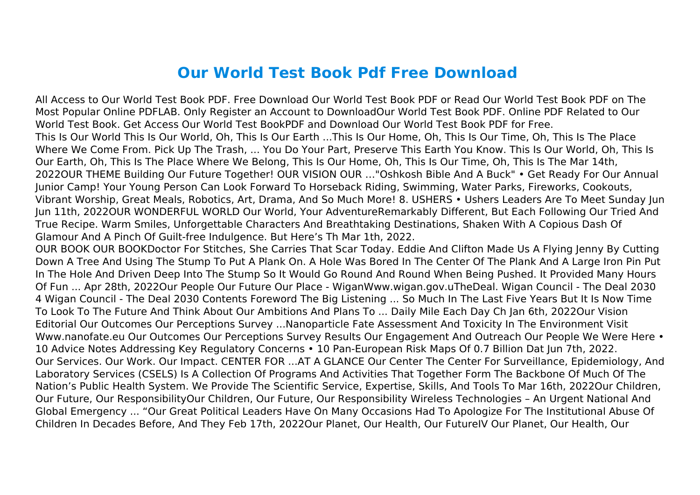## **Our World Test Book Pdf Free Download**

All Access to Our World Test Book PDF. Free Download Our World Test Book PDF or Read Our World Test Book PDF on The Most Popular Online PDFLAB. Only Register an Account to DownloadOur World Test Book PDF. Online PDF Related to Our World Test Book. Get Access Our World Test BookPDF and Download Our World Test Book PDF for Free. This Is Our World This Is Our World, Oh, This Is Our Earth ...This Is Our Home, Oh, This Is Our Time, Oh, This Is The Place Where We Come From. Pick Up The Trash, ... You Do Your Part, Preserve This Earth You Know. This Is Our World, Oh, This Is Our Earth, Oh, This Is The Place Where We Belong, This Is Our Home, Oh, This Is Our Time, Oh, This Is The Mar 14th, 2022OUR THEME Building Our Future Together! OUR VISION OUR …"Oshkosh Bible And A Buck" • Get Ready For Our Annual Junior Camp! Your Young Person Can Look Forward To Horseback Riding, Swimming, Water Parks, Fireworks, Cookouts, Vibrant Worship, Great Meals, Robotics, Art, Drama, And So Much More! 8. USHERS • Ushers Leaders Are To Meet Sunday Jun Jun 11th, 2022OUR WONDERFUL WORLD Our World, Your AdventureRemarkably Different, But Each Following Our Tried And True Recipe. Warm Smiles, Unforgettable Characters And Breathtaking Destinations, Shaken With A Copious Dash Of Glamour And A Pinch Of Guilt-free Indulgence. But Here's Th Mar 1th, 2022.

OUR BOOK OUR BOOKDoctor For Stitches, She Carries That Scar Today. Eddie And Clifton Made Us A Flying Jenny By Cutting Down A Tree And Using The Stump To Put A Plank On. A Hole Was Bored In The Center Of The Plank And A Large Iron Pin Put In The Hole And Driven Deep Into The Stump So It Would Go Round And Round When Being Pushed. It Provided Many Hours Of Fun ... Apr 28th, 2022Our People Our Future Our Place - WiganWww.wigan.gov.uTheDeal. Wigan Council - The Deal 2030 4 Wigan Council - The Deal 2030 Contents Foreword The Big Listening ... So Much In The Last Five Years But It Is Now Time To Look To The Future And Think About Our Ambitions And Plans To ... Daily Mile Each Day Ch Jan 6th, 2022Our Vision Editorial Our Outcomes Our Perceptions Survey ...Nanoparticle Fate Assessment And Toxicity In The Environment Visit Www.nanofate.eu Our Outcomes Our Perceptions Survey Results Our Engagement And Outreach Our People We Were Here • 10 Advice Notes Addressing Key Regulatory Concerns • 10 Pan-European Risk Maps Of 0.7 Billion Dat Jun 7th, 2022. Our Services. Our Work. Our Impact. CENTER FOR ...AT A GLANCE Our Center The Center For Surveillance, Epidemiology, And Laboratory Services (CSELS) Is A Collection Of Programs And Activities That Together Form The Backbone Of Much Of The Nation's Public Health System. We Provide The Scientific Service, Expertise, Skills, And Tools To Mar 16th, 2022Our Children, Our Future, Our ResponsibilityOur Children, Our Future, Our Responsibility Wireless Technologies – An Urgent National And Global Emergency ... "Our Great Political Leaders Have On Many Occasions Had To Apologize For The Institutional Abuse Of Children In Decades Before, And They Feb 17th, 2022Our Planet, Our Health, Our FutureIV Our Planet, Our Health, Our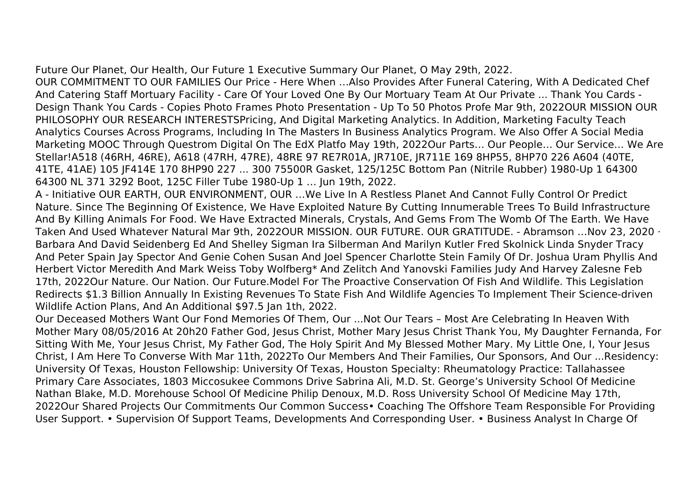Future Our Planet, Our Health, Our Future 1 Executive Summary Our Planet, O May 29th, 2022.

OUR COMMITMENT TO OUR FAMILIES Our Price - Here When …Also Provides After Funeral Catering, With A Dedicated Chef And Catering Staff Mortuary Facility - Care Of Your Loved One By Our Mortuary Team At Our Private ... Thank You Cards - Design Thank You Cards - Copies Photo Frames Photo Presentation - Up To 50 Photos Profe Mar 9th, 2022OUR MISSION OUR PHILOSOPHY OUR RESEARCH INTERESTSPricing, And Digital Marketing Analytics. In Addition, Marketing Faculty Teach Analytics Courses Across Programs, Including In The Masters In Business Analytics Program. We Also Offer A Social Media Marketing MOOC Through Questrom Digital On The EdX Platfo May 19th, 2022Our Parts… Our People… Our Service… We Are Stellar!A518 (46RH, 46RE), A618 (47RH, 47RE), 48RE 97 RE7R01A, JR710E, JR711E 169 8HP55, 8HP70 226 A604 (40TE, 41TE, 41AE) 105 JF414E 170 8HP90 227 ... 300 75500R Gasket, 125/125C Bottom Pan (Nitrile Rubber) 1980-Up 1 64300 64300 NL 371 3292 Boot, 125C Filler Tube 1980-Up 1 … Jun 19th, 2022.

A - Initiative OUR EARTH, OUR ENVIRONMENT, OUR …We Live In A Restless Planet And Cannot Fully Control Or Predict Nature. Since The Beginning Of Existence, We Have Exploited Nature By Cutting Innumerable Trees To Build Infrastructure And By Killing Animals For Food. We Have Extracted Minerals, Crystals, And Gems From The Womb Of The Earth. We Have Taken And Used Whatever Natural Mar 9th, 2022OUR MISSION. OUR FUTURE. OUR GRATITUDE. - Abramson …Nov 23, 2020 · Barbara And David Seidenberg Ed And Shelley Sigman Ira Silberman And Marilyn Kutler Fred Skolnick Linda Snyder Tracy And Peter Spain Jay Spector And Genie Cohen Susan And Joel Spencer Charlotte Stein Family Of Dr. Joshua Uram Phyllis And Herbert Victor Meredith And Mark Weiss Toby Wolfberg\* And Zelitch And Yanovski Families Judy And Harvey Zalesne Feb 17th, 2022Our Nature. Our Nation. Our Future.Model For The Proactive Conservation Of Fish And Wildlife. This Legislation Redirects \$1.3 Billion Annually In Existing Revenues To State Fish And Wildlife Agencies To Implement Their Science-driven Wildlife Action Plans, And An Additional \$97.5 Jan 1th, 2022.

Our Deceased Mothers Want Our Fond Memories Of Them, Our ...Not Our Tears – Most Are Celebrating In Heaven With Mother Mary 08/05/2016 At 20h20 Father God, Jesus Christ, Mother Mary Jesus Christ Thank You, My Daughter Fernanda, For Sitting With Me, Your Jesus Christ, My Father God, The Holy Spirit And My Blessed Mother Mary. My Little One, I, Your Jesus Christ, I Am Here To Converse With Mar 11th, 2022To Our Members And Their Families, Our Sponsors, And Our ...Residency: University Of Texas, Houston Fellowship: University Of Texas, Houston Specialty: Rheumatology Practice: Tallahassee Primary Care Associates, 1803 Miccosukee Commons Drive Sabrina Ali, M.D. St. George's University School Of Medicine Nathan Blake, M.D. Morehouse School Of Medicine Philip Denoux, M.D. Ross University School Of Medicine May 17th, 2022Our Shared Projects Our Commitments Our Common Success• Coaching The Offshore Team Responsible For Providing User Support. • Supervision Of Support Teams, Developments And Corresponding User. • Business Analyst In Charge Of